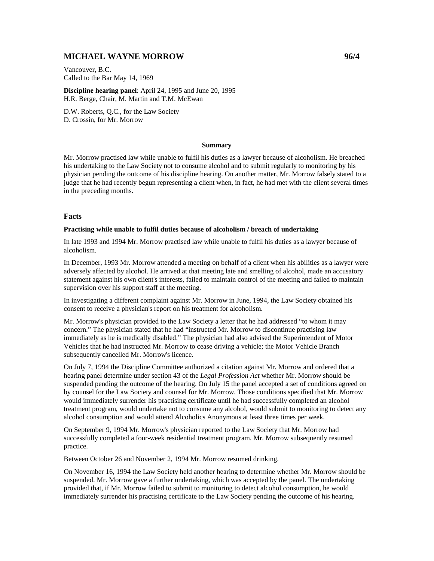# **MICHAEL WAYNE MORROW 96/4**

Vancouver, B.C. Called to the Bar May 14, 1969

**Discipline hearing panel**: April 24, 1995 and June 20, 1995 H.R. Berge, Chair, M. Martin and T.M. McEwan

D.W. Roberts, Q.C., for the Law Society D. Crossin, for Mr. Morrow

#### **Summary**

Mr. Morrow practised law while unable to fulfil his duties as a lawyer because of alcoholism. He breached his undertaking to the Law Society not to consume alcohol and to submit regularly to monitoring by his physician pending the outcome of his discipline hearing. On another matter, Mr. Morrow falsely stated to a judge that he had recently begun representing a client when, in fact, he had met with the client several times in the preceding months.

#### **Facts**

#### **Practising while unable to fulfil duties because of alcoholism / breach of undertaking**

In late 1993 and 1994 Mr. Morrow practised law while unable to fulfil his duties as a lawyer because of alcoholism.

In December, 1993 Mr. Morrow attended a meeting on behalf of a client when his abilities as a lawyer were adversely affected by alcohol. He arrived at that meeting late and smelling of alcohol, made an accusatory statement against his own client's interests, failed to maintain control of the meeting and failed to maintain supervision over his support staff at the meeting.

In investigating a different complaint against Mr. Morrow in June, 1994, the Law Society obtained his consent to receive a physician's report on his treatment for alcoholism.

Mr. Morrow's physician provided to the Law Society a letter that he had addressed "to whom it may concern." The physician stated that he had "instructed Mr. Morrow to discontinue practising law immediately as he is medically disabled." The physician had also advised the Superintendent of Motor Vehicles that he had instructed Mr. Morrow to cease driving a vehicle; the Motor Vehicle Branch subsequently cancelled Mr. Morrow's licence.

On July 7, 1994 the Discipline Committee authorized a citation against Mr. Morrow and ordered that a hearing panel determine under section 43 of the *Legal Profession Act* whether Mr. Morrow should be suspended pending the outcome of the hearing. On July 15 the panel accepted a set of conditions agreed on by counsel for the Law Society and counsel for Mr. Morrow. Those conditions specified that Mr. Morrow would immediately surrender his practising certificate until he had successfully completed an alcohol treatment program, would undertake not to consume any alcohol, would submit to monitoring to detect any alcohol consumption and would attend Alcoholics Anonymous at least three times per week.

On September 9, 1994 Mr. Morrow's physician reported to the Law Society that Mr. Morrow had successfully completed a four-week residential treatment program. Mr. Morrow subsequently resumed practice.

Between October 26 and November 2, 1994 Mr. Morrow resumed drinking.

On November 16, 1994 the Law Society held another hearing to determine whether Mr. Morrow should be suspended. Mr. Morrow gave a further undertaking, which was accepted by the panel. The undertaking provided that, if Mr. Morrow failed to submit to monitoring to detect alcohol consumption, he would immediately surrender his practising certificate to the Law Society pending the outcome of his hearing.